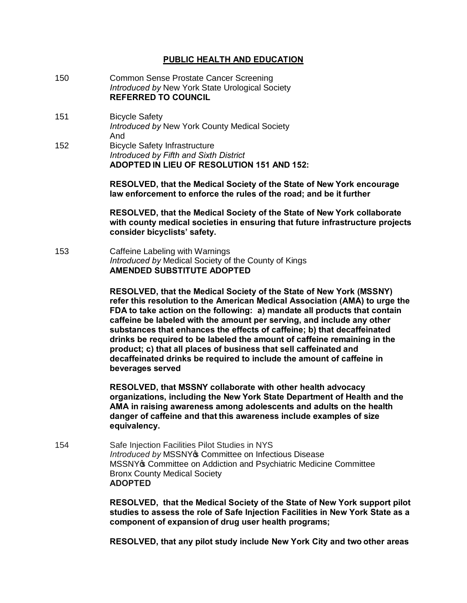## **PUBLIC HEALTH AND EDUCATION**

- 150 Common Sense Prostate Cancer Screening *Introduced by* New York State Urological Society **REFERRED TO COUNCIL**
- 151 Bicycle Safety *Introduced by* New York County Medical Society And 152 Bicycle Safety Infrastructure

*Introduced by Fifth and Sixth District* **ADOPTED IN LIEU OF RESOLUTION 151 AND 152:**

> **RESOLVED, that the Medical Society of the State of New York encourage law enforcement to enforce the rules of the road; and be it further**

**RESOLVED, that the Medical Society of the State of New York collaborate with county medical societies in ensuring that future infrastructure projects consider bicyclists' safety.**

153 Caffeine Labeling with Warnings *Introduced by* Medical Society of the County of Kings **AMENDED SUBSTITUTE ADOPTED**

> **RESOLVED, that the Medical Society of the State of New York (MSSNY) refer this resolution to the American Medical Association (AMA) to urge the FDA to take action on the following: a) mandate all products that contain caffeine be labeled with the amount per serving, and include any other substances that enhances the effects of caffeine; b) that decaffeinated drinks be required to be labeled the amount of caffeine remaining in the product; c) that all places of business that sell caffeinated and decaffeinated drinks be required to include the amount of caffeine in beverages served**

**RESOLVED, that MSSNY collaborate with other health advocacy organizations, including the New York State Department of Health and the AMA in raising awareness among adolescents and adults on the health danger of caffeine and that this awareness include examples of size equivalency.**

154 Safe Injection Facilities Pilot Studies in NYS *Introduced by MSSNY***<sub>\$</sub>** Committee on Infectious Disease MSSNY<sup>®</sup> Committee on Addiction and Psychiatric Medicine Committee Bronx County Medical Society **ADOPTED** 

> **RESOLVED, that the Medical Society of the State of New York support pilot studies to assess the role of Safe Injection Facilities in New York State as a component of expansion of drug user health programs;**

> **RESOLVED, that any pilot study include New York City and two other areas**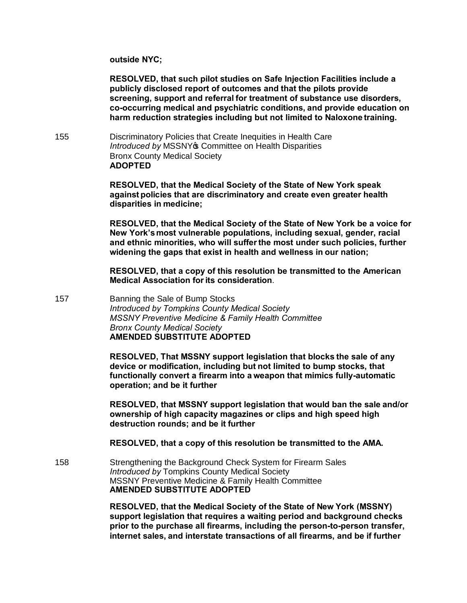**outside NYC;** 

**RESOLVED, that such pilot studies on Safe Injection Facilities include a publicly disclosed report of outcomes and that the pilots provide screening, support and referral for treatment of substance use disorders, co-occurring medical and psychiatric conditions, and provide education on harm reduction strategies including but not limited to Naloxone training.**

155 Discriminatory Policies that Create Inequities in Health Care **Introduced by MSSNY® Committee on Health Disparities** Bronx County Medical Society **ADOPTED**

> **RESOLVED, that the Medical Society of the State of New York speak against policies that are discriminatory and create even greater health disparities in medicine;**

**RESOLVED, that the Medical Society of the State of New York be a voice for New York'smost vulnerable populations, including sexual, gender, racial and ethnic minorities, who will sufferthe most under such policies, further widening the gaps that exist in health and wellness in our nation;**

**RESOLVED, that a copy of this resolution be transmitted to the American Medical Association forits consideration**.

157 Banning the Sale of Bump Stocks *Introduced by Tompkins County Medical Society MSSNY Preventive Medicine & Family Health Committee Bronx County Medical Society* **AMENDED SUBSTITUTE ADOPTED**

> **RESOLVED, That MSSNY support legislation that blocks the sale of any device or modification, including but not limited to bump stocks, that functionally convert a firearm into a weapon that mimics fully-automatic operation; and be it further**

**RESOLVED, that MSSNY support legislation that would ban the sale and/or ownership of high capacity magazines or clips and high speed high destruction rounds; and be it further**

**RESOLVED, that a copy of this resolution be transmitted to the AMA.**

158 Strengthening the Background Check System for Firearm Sales *Introduced by* Tompkins County Medical Society MSSNY Preventive Medicine & Family Health Committee **AMENDED SUBSTITUTE ADOPTED**

> **RESOLVED, that the Medical Society of the State of New York (MSSNY) support legislation that requires a waiting period and background checks prior to the purchase all firearms, including the person-to-person transfer, internet sales, and interstate transactions of all firearms, and be if further**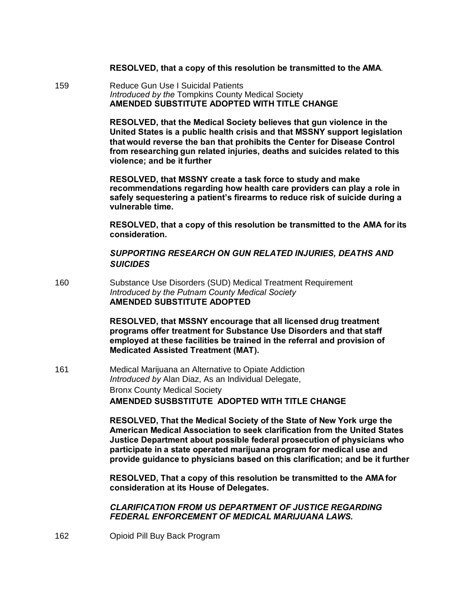## **RESOLVED, that a copy of this resolution be transmitted to the AMA**.

159 Reduce Gun Use I Suicidal Patients *Introduced by the* Tompkins County Medical Society **AMENDED SUBSTITUTE ADOPTED WITH TITLE CHANGE**

> **RESOLVED, that the Medical Society believes that gun violence in the United States is a public health crisis and that MSSNY support legislation that would reverse the ban that prohibits the Center for Disease Control from researching gun related injuries, deaths and suicides related to this violence; and be it further**

> **RESOLVED, that MSSNY create a task force to study and make recommendations regarding how health care providers can play a role in safely sequestering a patient's firearms to reduce risk of suicide during a vulnerable time.**

**RESOLVED, that a copy of this resolution be transmitted to the AMA for its consideration.**

*SUPPORTING RESEARCH ON GUN RELATED INJURIES, DEATHS AND SUICIDES*

160 Substance Use Disorders (SUD) Medical Treatment Requirement *Introduced by the Putnam County Medical Society* **AMENDED SUBSTITUTE ADOPTED**

> **RESOLVED, that MSSNY encourage that all licensed drug treatment programs offer treatment for Substance Use Disorders and that staff employed at these facilities be trained in the referral and provision of Medicated Assisted Treatment (MAT).**

161 Medical Marijuana an Alternative to Opiate Addiction *Introduced by* Alan Diaz, As an Individual Delegate, Bronx County Medical Society **AMENDED SUSBSTITUTE ADOPTED WITH TITLE CHANGE**

> **RESOLVED, That the Medical Society of the State of New York urge the American Medical Association to seek clarification from the United States Justice Department about possible federal prosecution of physicians who participate in a state operated marijuana program for medical use and provide guidance to physicians based on this clarification; and be it further**

**RESOLVED, That a copy of this resolution be transmitted to the AMA for consideration at its House of Delegates.**

*CLARIFICATION FROM US DEPARTMENT OF JUSTICE REGARDING FEDERAL ENFORCEMENT OF MEDICAL MARIJUANA LAWS.*

162 Opioid Pill Buy Back Program